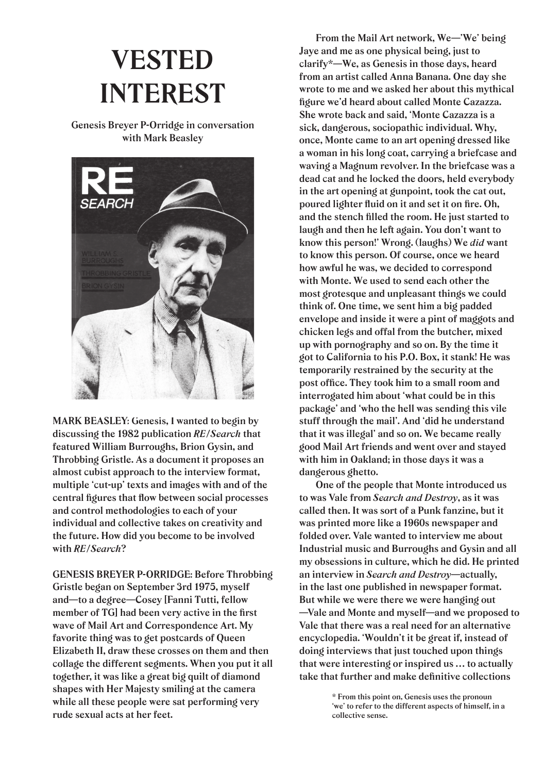## **VESTED INTEREST**

**Genesis Breyer P-Orridge in conversation with Mark Beasley** 



**MARK BEASLEY: Genesis, I wanted to begin by discussing the 1982 publication** *RE/Search* **that featured William Burroughs, Brion Gysin, and Throbbing Gristle. As a document it proposes an almost cubist approach to the interview format, multiple 'cut-up' texts and images with and of the**  central figures that flow between social processes **and control methodologies to each of your individual and collective takes on creativity and the future. How did you become to be involved with** *RE/Search***?** 

**GENESIS BREYER P-ORRIDGE: Before Throbbing Gristle began on September 3rd 1975, myself and—to a degree—Cosey [Fanni Tutti, fellow**  member of TG] had been very active in the first **wave of Mail Art and Correspondence Art. My favorite thing was to get postcards of Queen Elizabeth II, draw these crosses on them and then collage the different segments. When you put it all together, it was like a great big quilt of diamond shapes with Her Majesty smiling at the camera while all these people were sat performing very rude sexual acts at her feet.** 

 **From the Mail Art network, We—'We' being Jaye and me as one physical being, just to clarify\*—We, as Genesis in those days, heard from an artist called Anna Banana. One day she wrote to me and we asked her about this mythical fi gure we'd heard about called Monte Cazazza. She wrote back and said, 'Monte Cazazza is a sick, dangerous, sociopathic individual. Why, once, Monte came to an art opening dressed like a woman in his long coat, carrying a briefcase and waving a Magnum revolver. In the briefcase was a dead cat and he locked the doors, held everybody in the art opening at gunpoint, took the cat out,**  poured lighter fluid on it and set it on fire. Oh, and the stench filled the room. He just started to **laugh and then he left again. You don't want to know this person!' Wrong. (laughs) We** *did* **want to know this person. Of course, once we heard how awful he was, we decided to correspond with Monte. We used to send each other the most grotesque and unpleasant things we could think of. One time, we sent him a big padded envelope and inside it were a pint of maggots and chicken legs and offal from the butcher, mixed up with pornography and so on. By the time it got to California to his P.O. Box, it stank! He was temporarily restrained by the security at the**  post office. They took him to a small room and **interrogated him about 'what could be in this package' and 'who the hell was sending this vile stuff through the mail'. And 'did he understand that it was illegal' and so on. We became really good Mail Art friends and went over and stayed with him in Oakland; in those days it was a dangerous ghetto.** 

 **One of the people that Monte introduced us to was Vale from** *Search and Destroy***, as it was called then. It was sort of a Punk fanzine, but it was printed more like a 1960s newspaper and folded over. Vale wanted to interview me about Industrial music and Burroughs and Gysin and all my obsessions in culture, which he did. He printed an interview in** *Search and Destroy***—actually, in the last one published in newspaper format. But while we were there we were hanging out —Vale and Monte and myself—and we proposed to Vale that there was a real need for an alternative encyclopedia. 'Wouldn't it be great if, instead of doing interviews that just touched upon things that were interesting or inspired us … to actually**  take that further and make definitive collections

> **\* From this point on, Genesis uses the pronoun 'we' to refer to the different aspects of himself, in a collective sense.**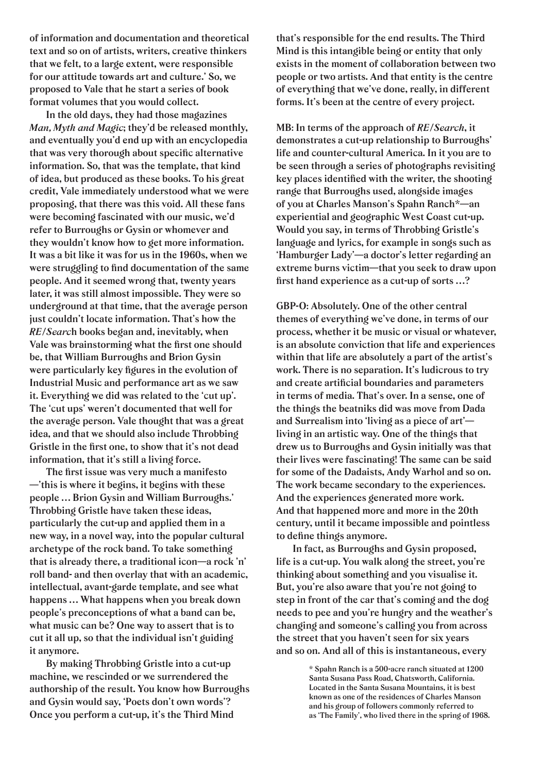**of information and documentation and theoretical text and so on of artists, writers, creative thinkers that we felt, to a large extent, were responsible for our attitude towards art and culture.' So, we proposed to Vale that he start a series of book format volumes that you would collect.** 

 **In the old days, they had those magazines**  *Man, Myth and Magic***; they'd be released monthly, and eventually you'd end up with an encyclopedia**  that was very thorough about specific alternative **information. So, that was the template, that kind of idea, but produced as these books. To his great credit, Vale immediately understood what we were proposing, that there was this void. All these fans were becoming fascinated with our music, we'd refer to Burroughs or Gysin or whomever and they wouldn't know how to get more information. It was a bit like it was for us in the 1960s, when we**  were struggling to find documentation of the same **people. And it seemed wrong that, twenty years later, it was still almost impossible. They were so underground at that time, that the average person just couldn't locate information. That's how the**  *RE/Searc***h books began and, inevitably, when**  Vale was brainstorming what the first one should **be, that William Burroughs and Brion Gysin**  were particularly key figures in the evolution of **Industrial Music and performance art as we saw it. Everything we did was related to the 'cut up'. The 'cut ups' weren't documented that well for the average person. Vale thought that was a great idea, and that we should also include Throbbing**  Gristle in the first one, to show that it's not dead **information, that it's still a living force.** 

The first issue was very much a manifesto **—'this is where it begins, it begins with these people … Brion Gysin and William Burroughs.' Throbbing Gristle have taken these ideas, particularly the cut-up and applied them in a new way, in a novel way, into the popular cultural archetype of the rock band. To take something that is already there, a traditional icon—a rock 'n' roll band- and then overlay that with an academic, intellectual, avant-garde template, and see what happens … What happens when you break down people's preconceptions of what a band can be, what music can be? One way to assert that is to cut it all up, so that the individual isn't guiding it anymore.** 

 **By making Throbbing Gristle into a cut-up machine, we rescinded or we surrendered the authorship of the result. You know how Burroughs and Gysin would say, 'Poets don't own words'? Once you perform a cut-up, it's the Third Mind** 

**that's responsible for the end results. The Third Mind is this intangible being or entity that only exists in the moment of collaboration between two people or two artists. And that entity is the centre of everything that we've done, really, in different forms. It's been at the centre of every project.**

**MB: In terms of the approach of** *RE/Search***, it demonstrates a cut-up relationship to Burroughs' life and counter-cultural America. In it you are to be seen through a series of photographs revisiting**  key places identified with the writer, the shooting **range that Burroughs used, alongside images of you at Charles Manson's Spahn Ranch\*—an experiential and geographic West Coast cut-up. Would you say, in terms of Throbbing Gristle's language and lyrics, for example in songs such as 'Hamburger Lady'—a doctor's letter regarding an extreme burns victim—that you seek to draw upon**  first hand experience as a cut-up of sorts ...?

**GBP-O: Absolutely. One of the other central themes of everything we've done, in terms of our process, whether it be music or visual or whatever, is an absolute conviction that life and experiences within that life are absolutely a part of the artist's work. There is no separation. It's ludicrous to try**  and create artificial boundaries and parameters **in terms of media. That's over. In a sense, one of the things the beatniks did was move from Dada and Surrealism into 'living as a piece of art' living in an artistic way. One of the things that drew us to Burroughs and Gysin initially was that their lives were fascinating! The same can be said for some of the Dadaists, Andy Warhol and so on. The work became secondary to the experiences. And the experiences generated more work. And that happened more and more in the 20th century, until it became impossible and pointless**  to define things anymore.

 **In fact, as Burroughs and Gysin proposed, life is a cut-up. You walk along the street, you're thinking about something and you visualise it. But, you're also aware that you're not going to step in front of the car that's coming and the dog needs to pee and you're hungry and the weather's changing and someone's calling you from across the street that you haven't seen for six years and so on. And all of this is instantaneous, every** 

> **\* Spahn Ranch is a 500-acre ranch situated at 1200 Santa Susana Pass Road, Chatsworth, California. Located in the Santa Susana Mountains, it is best known as one of the residences of Charles Manson and his group of followers commonly referred to as 'The Family', who lived there in the spring of 1968.**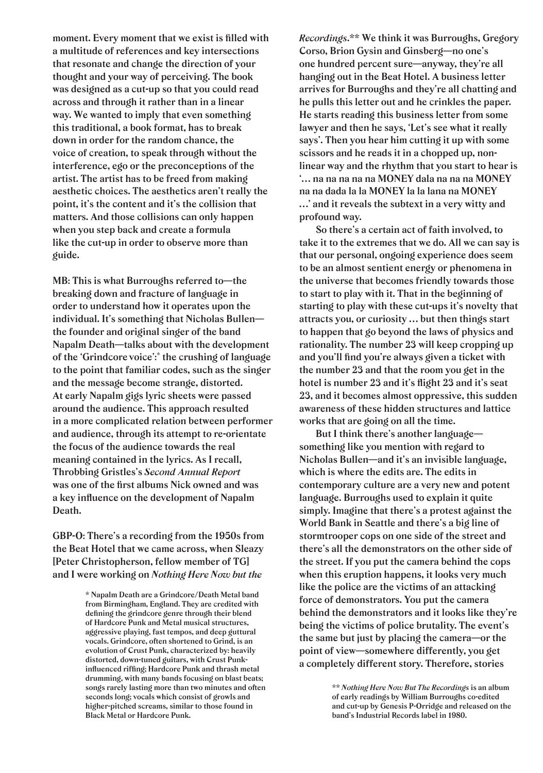moment. Every moment that we exist is filled with **a multitude of references and key intersections that resonate and change the direction of your thought and your way of perceiving. The book was designed as a cut-up so that you could read across and through it rather than in a linear way. We wanted to imply that even something this traditional, a book format, has to break down in order for the random chance, the voice of creation, to speak through without the interference, ego or the preconceptions of the artist. The artist has to be freed from making aesthetic choices. The aesthetics aren't really the point, it's the content and it's the collision that matters. And those collisions can only happen when you step back and create a formula like the cut-up in order to observe more than guide.**

**MB: This is what Burroughs referred to—the breaking down and fracture of language in order to understand how it operates upon the individual. It's something that Nicholas Bullen the founder and original singer of the band Napalm Death—talks about with the development of the 'Grindcore voice':\* the crushing of language to the point that familiar codes, such as the singer and the message become strange, distorted. At early Napalm gigs lyric sheets were passed around the audience. This approach resulted in a more complicated relation between performer and audience, through its attempt to re-orientate the focus of the audience towards the real meaning contained in the lyrics. As I recall, Throbbing Gristles's** *Second Annual Report* was one of the first albums Nick owned and was a key influence on the development of Napalm **Death.**

**GBP-O: There's a recording from the 1950s from the Beat Hotel that we came across, when Sleazy [Peter Christopherson, fellow member of TG] and I were working on** *Nothing Here Now but the* 

> **\* Napalm Death are a Grindcore/Death Metal band from Birmingham, England. They are credited with**  defining the grindcore genre through their blend **of Hardcore Punk and Metal musical structures, aggressive playing, fast tempos, and deep guttural vocals. Grindcore, often shortened to Grind, is an evolution of Crust Punk, characterized by: heavily distorted, down-tuned guitars, with Crust Punk**influenced riffing; Hardcore Punk and thrash metal **drumming, with many bands focusing on blast beats; songs rarely lasting more than two minutes and often seconds long; vocals which consist of growls and higher-pitched screams, similar to those found in Black Metal or Hardcore Punk.**

*Recordings***.\*\* We think it was Burroughs, Gregory Corso, Brion Gysin and Ginsberg—no one's one hundred percent sure—anyway, they're all hanging out in the Beat Hotel. A business letter arrives for Burroughs and they're all chatting and he pulls this letter out and he crinkles the paper. He starts reading this business letter from some lawyer and then he says, 'Let's see what it really says'. Then you hear him cutting it up with some scissors and he reads it in a chopped up, nonlinear way and the rhythm that you start to hear is '… na na na na na MONEY dala na na na MONEY na na dada la la MONEY la la lana na MONEY …' and it reveals the subtext in a very witty and profound way.** 

 **So there's a certain act of faith involved, to take it to the extremes that we do. All we can say is that our personal, ongoing experience does seem to be an almost sentient energy or phenomena in the universe that becomes friendly towards those to start to play with it. That in the beginning of starting to play with these cut-ups it's novelty that attracts you, or curiosity … but then things start to happen that go beyond the laws of physics and rationality. The number 23 will keep cropping up**  and you'll find you're always given a ticket with **the number 23 and that the room you get in the**  hotel is number 23 and it's flight 23 and it's seat **23, and it becomes almost oppressive, this sudden awareness of these hidden structures and lattice works that are going on all the time.** 

 **But I think there's another language something like you mention with regard to Nicholas Bullen—and it's an invisible language, which is where the edits are. The edits in contemporary culture are a very new and potent language. Burroughs used to explain it quite simply. Imagine that there's a protest against the World Bank in Seattle and there's a big line of stormtrooper cops on one side of the street and there's all the demonstrators on the other side of the street. If you put the camera behind the cops when this eruption happens, it looks very much like the police are the victims of an attacking force of demonstrators. You put the camera behind the demonstrators and it looks like they're being the victims of police brutality. The event's the same but just by placing the camera—or the point of view—somewhere differently, you get a completely different story. Therefore, stories** 

> **\*\*** *Nothing Here Now But The Recordings* **is an album of early readings by William Burroughs co-edited and cut-up by Genesis P-Orridge and released on the band's Industrial Records label in 1980.**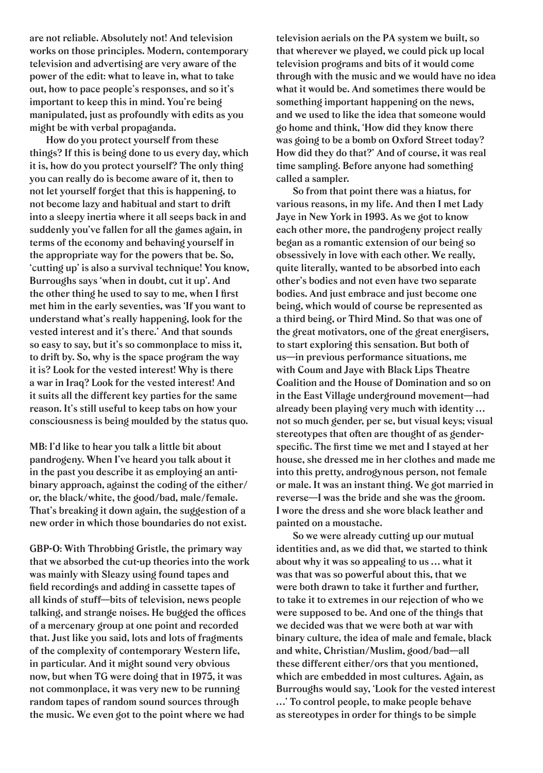**are not reliable. Absolutely not! And television works on those principles. Modern, contemporary television and advertising are very aware of the power of the edit: what to leave in, what to take out, how to pace people's responses, and so it's important to keep this in mind. You're being manipulated, just as profoundly with edits as you might be with verbal propaganda.** 

 **How do you protect yourself from these things? If this is being done to us every day, which it is, how do you protect yourself? The only thing you can really do is become aware of it, then to not let yourself forget that this is happening, to not become lazy and habitual and start to drift into a sleepy inertia where it all seeps back in and suddenly you've fallen for all the games again, in terms of the economy and behaving yourself in the appropriate way for the powers that be. So, 'cutting up' is also a survival technique! You know, Burroughs says 'when in doubt, cut it up'. And**  the other thing he used to say to me, when I first **met him in the early seventies, was 'If you want to understand what's really happening, look for the vested interest and it's there.' And that sounds so easy to say, but it's so commonplace to miss it, to drift by. So, why is the space program the way it is? Look for the vested interest! Why is there a war in Iraq? Look for the vested interest! And it suits all the different key parties for the same reason. It's still useful to keep tabs on how your consciousness is being moulded by the status quo.**

**MB: I'd like to hear you talk a little bit about pandrogeny. When I've heard you talk about it in the past you describe it as employing an antibinary approach, against the coding of the either/ or, the black/white, the good/bad, male/female. That's breaking it down again, the suggestion of a new order in which those boundaries do not exist.** 

**GBP-O: With Throbbing Gristle, the primary way that we absorbed the cut-up theories into the work was mainly with Sleazy using found tapes and**  field recordings and adding in cassette tapes of **all kinds of stuff—bits of television, news people**  talking, and strange noises. He bugged the offices **of a mercenary group at one point and recorded that. Just like you said, lots and lots of fragments of the complexity of contemporary Western life, in particular. And it might sound very obvious now, but when TG were doing that in 1975, it was not commonplace, it was very new to be running random tapes of random sound sources through the music. We even got to the point where we had** 

**television aerials on the PA system we built, so that wherever we played, we could pick up local television programs and bits of it would come through with the music and we would have no idea what it would be. And sometimes there would be something important happening on the news, and we used to like the idea that someone would go home and think, 'How did they know there was going to be a bomb on Oxford Street today? How did they do that?' And of course, it was real time sampling. Before anyone had something called a sampler.** 

 **So from that point there was a hiatus, for various reasons, in my life. And then I met Lady Jaye in New York in 1993. As we got to know each other more, the pandrogeny project really began as a romantic extension of our being so obsessively in love with each other. We really, quite literally, wanted to be absorbed into each other's bodies and not even have two separate bodies. And just embrace and just become one being, which would of course be represented as a third being, or Third Mind. So that was one of the great motivators, one of the great energisers, to start exploring this sensation. But both of us—in previous performance situations, me with Coum and Jaye with Black Lips Theatre Coalition and the House of Domination and so on in the East Village underground movement—had already been playing very much with identity … not so much gender, per se, but visual keys; visual stereotypes that often are thought of as gender**specific. The first time we met and I stayed at her **house, she dressed me in her clothes and made me into this pretty, androgynous person, not female or male. It was an instant thing. We got married in reverse—I was the bride and she was the groom. I wore the dress and she wore black leather and painted on a moustache.** 

 **So we were already cutting up our mutual identities and, as we did that, we started to think about why it was so appealing to us … what it was that was so powerful about this, that we were both drawn to take it further and further, to take it to extremes in our rejection of who we were supposed to be. And one of the things that we decided was that we were both at war with binary culture, the idea of male and female, black and white, Christian/Muslim, good/bad—all these different either/ors that you mentioned, which are embedded in most cultures. Again, as Burroughs would say, 'Look for the vested interest …' To control people, to make people behave as stereotypes in order for things to be simple**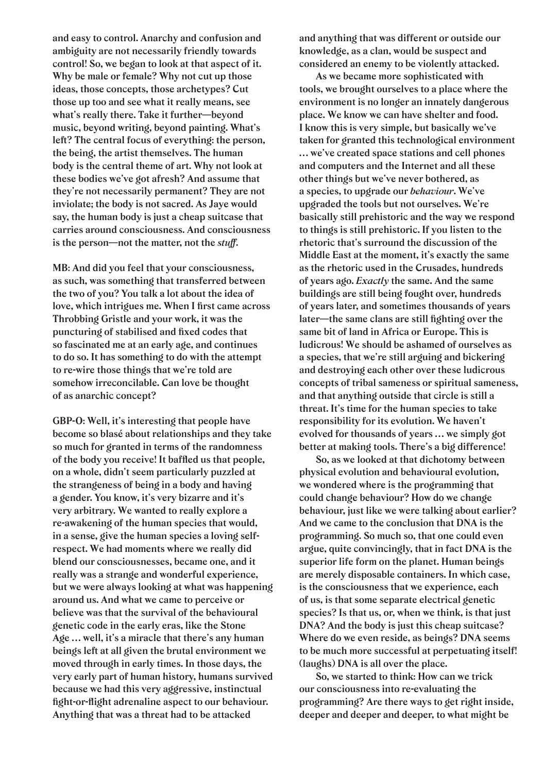**and easy to control. Anarchy and confusion and ambiguity are not necessarily friendly towards control! So, we began to look at that aspect of it. Why be male or female? Why not cut up those ideas, those concepts, those archetypes? Cut those up too and see what it really means, see what's really there. Take it further—beyond music, beyond writing, beyond painting. What's left? The central focus of everything: the person, the being, the artist themselves. The human body is the central theme of art. Why not look at these bodies we've got afresh? And assume that they're not necessarily permanent? They are not inviolate; the body is not sacred. As Jaye would say, the human body is just a cheap suitcase that carries around consciousness. And consciousness is the person—not the matter, not the** *stuff***.**

**MB: And did you feel that your consciousness, as such, was something that transferred between the two of you? You talk a lot about the idea of**  love, which intrigues me. When I first came across **Throbbing Gristle and your work, it was the**  puncturing of stabilised and fixed codes that **so fascinated me at an early age, and continues to do so. It has something to do with the attempt to re-wire those things that we're told are somehow irreconcilable. Can love be thought of as anarchic concept?** 

**GBP-O: Well, it's interesting that people have become so blasé about relationships and they take so much for granted in terms of the randomness**  of the body you receive! It baffled us that people, **on a whole, didn't seem particularly puzzled at the strangeness of being in a body and having a gender. You know, it's very bizarre and it's very arbitrary. We wanted to really explore a re-awakening of the human species that would, in a sense, give the human species a loving selfrespect. We had moments where we really did blend our consciousnesses, became one, and it really was a strange and wonderful experience, but we were always looking at what was happening around us. And what we came to perceive or believe was that the survival of the behavioural genetic code in the early eras, like the Stone Age … well, it's a miracle that there's any human beings left at all given the brutal environment we moved through in early times. In those days, the very early part of human history, humans survived because we had this very aggressive, instinctual**  fight-or-flight adrenaline aspect to our behaviour. **Anything that was a threat had to be attacked** 

**and anything that was different or outside our knowledge, as a clan, would be suspect and considered an enemy to be violently attacked.** 

 **As we became more sophisticated with tools, we brought ourselves to a place where the environment is no longer an innately dangerous place. We know we can have shelter and food. I know this is very simple, but basically we've taken for granted this technological environment … we've created space stations and cell phones and computers and the Internet and all these other things but we've never bothered, as a species, to upgrade our** *behaviour***. We've upgraded the tools but not ourselves. We're basically still prehistoric and the way we respond to things is still prehistoric. If you listen to the rhetoric that's surround the discussion of the Middle East at the moment, it's exactly the same as the rhetoric used in the Crusades, hundreds of years ago.** *Exactly* **the same. And the same buildings are still being fought over, hundreds of years later, and sometimes thousands of years**  later—the same clans are still fighting over the **same bit of land in Africa or Europe. This is ludicrous! We should be ashamed of ourselves as a species, that we're still arguing and bickering and destroying each other over these ludicrous concepts of tribal sameness or spiritual sameness, and that anything outside that circle is still a threat. It's time for the human species to take responsibility for its evolution. We haven't evolved for thousands of years … we simply got better at making tools. There's a big difference!**

 **So, as we looked at that dichotomy between physical evolution and behavioural evolution, we wondered where is the programming that could change behaviour? How do we change behaviour, just like we were talking about earlier? And we came to the conclusion that DNA is the programming. So much so, that one could even argue, quite convincingly, that in fact DNA is the superior life form on the planet. Human beings are merely disposable containers. In which case, is the consciousness that we experience, each of us, is that some separate electrical genetic species? Is that us, or, when we think, is that just DNA? And the body is just this cheap suitcase? Where do we even reside, as beings? DNA seems to be much more successful at perpetuating itself! (laughs) DNA is all over the place.** 

 **So, we started to think: How can we trick our consciousness into re-evaluating the programming? Are there ways to get right inside, deeper and deeper and deeper, to what might be**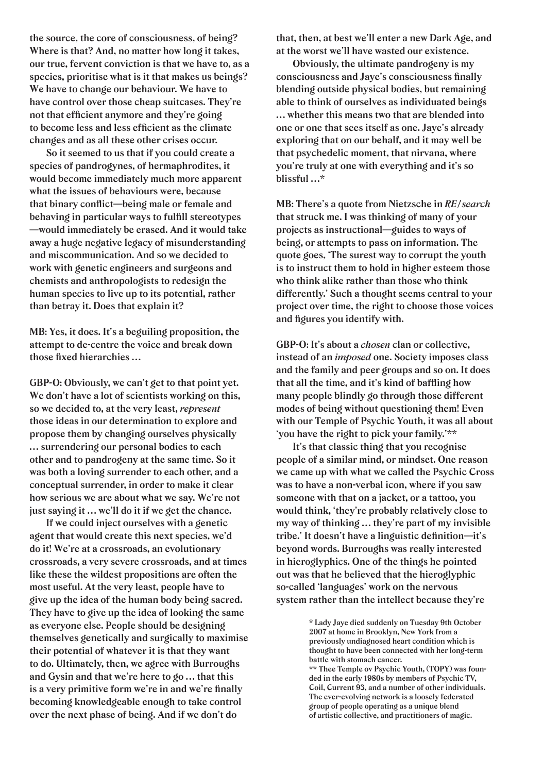**the source, the core of consciousness, of being? Where is that? And, no matter how long it takes, our true, fervent conviction is that we have to, as a species, prioritise what is it that makes us beings? We have to change our behaviour. We have to have control over those cheap suitcases. They're**  not that efficient anymore and they're going to become less and less efficient as the climate **changes and as all these other crises occur.** 

 **So it seemed to us that if you could create a species of pandrogynes, of hermaphrodites, it would become immediately much more apparent what the issues of behaviours were, because**  that binary conflict—being male or female and behaving in particular ways to fulfill stereotypes **—would immediately be erased. And it would take away a huge negative legacy of misunderstanding and miscommunication. And so we decided to work with genetic engineers and surgeons and chemists and anthropologists to redesign the human species to live up to its potential, rather than betray it. Does that explain it?**

**MB: Yes, it does. It's a beguiling proposition, the attempt to de-centre the voice and break down**  those fixed hierarchies ...

**GBP-O: Obviously, we can't get to that point yet. We don't have a lot of scientists working on this, so we decided to, at the very least,** *represent* **those ideas in our determination to explore and propose them by changing ourselves physically … surrendering our personal bodies to each other and to pandrogeny at the same time. So it was both a loving surrender to each other, and a conceptual surrender, in order to make it clear how serious we are about what we say. We're not just saying it … we'll do it if we get the chance.** 

 **If we could inject ourselves with a genetic agent that would create this next species, we'd do it! We're at a crossroads, an evolutionary crossroads, a very severe crossroads, and at times like these the wildest propositions are often the most useful. At the very least, people have to give up the idea of the human body being sacred. They have to give up the idea of looking the same as everyone else. People should be designing themselves genetically and surgically to maximise their potential of whatever it is that they want to do. Ultimately, then, we agree with Burroughs and Gysin and that we're here to go … that this**  is a very primitive form we're in and we're finally **becoming knowledgeable enough to take control over the next phase of being. And if we don't do** 

**that, then, at best we'll enter a new Dark Age, and at the worst we'll have wasted our existence.** 

 **Obviously, the ultimate pandrogeny is my**  consciousness and Jaye's consciousness finally **blending outside physical bodies, but remaining able to think of ourselves as individuated beings … whether this means two that are blended into one or one that sees itself as one. Jaye's already exploring that on our behalf, and it may well be that psychedelic moment, that nirvana, where you're truly at one with everything and it's so blissful …\***

**MB: There's a quote from Nietzsche in** *RE/search* **that struck me. I was thinking of many of your projects as instructional—guides to ways of being, or attempts to pass on information. The quote goes, 'The surest way to corrupt the youth is to instruct them to hold in higher esteem those who think alike rather than those who think differently.' Such a thought seems central to your project over time, the right to choose those voices**  and figures you identify with.

**GBP-O: It's about a** *chosen* **clan or collective, instead of an** *imposed*  **one. Society imposes class class and the family and peer groups and so on. It does**  that all the time, and it's kind of baffling how **many people blindly go through those different modes of being without questioning them! Even with our Temple of Psychic Youth, it was all about 'you have the right to pick your family.'\*\***

 **It's that classic thing that you recognise people of a similar mind, or mindset. One reason we came up with what we called the Psychic Cross was to have a non-verbal icon, where if you saw someone with that on a jacket, or a tattoo, you would think, 'they're probably relatively close to my way of thinking … they're part of my invisible**  tribe.' It doesn't have a linguistic definition-it's **beyond words. Burroughs was really interested in hieroglyphics. One of the things he pointed out was that he believed that the hieroglyphic so-called 'languages' work on the nervous system rather than the intellect because they're** 

**<sup>\*</sup> Lady Jaye died suddenly on Tuesday 9th October 2007 at home in Brooklyn, New York from a previously undiagnosed heart condition which is thought to have been connected with her long-term battle with stomach cancer.**

**<sup>\*\*</sup> Thee Temple ov Psychic Youth, (TOPY) was founded in the early 1980s by members of Psychic TV, Coil, Current 93, and a number of other individuals. The ever-evolving network is a loosely federated group of people operating as a unique blend of artistic collective, and practitioners of magic.**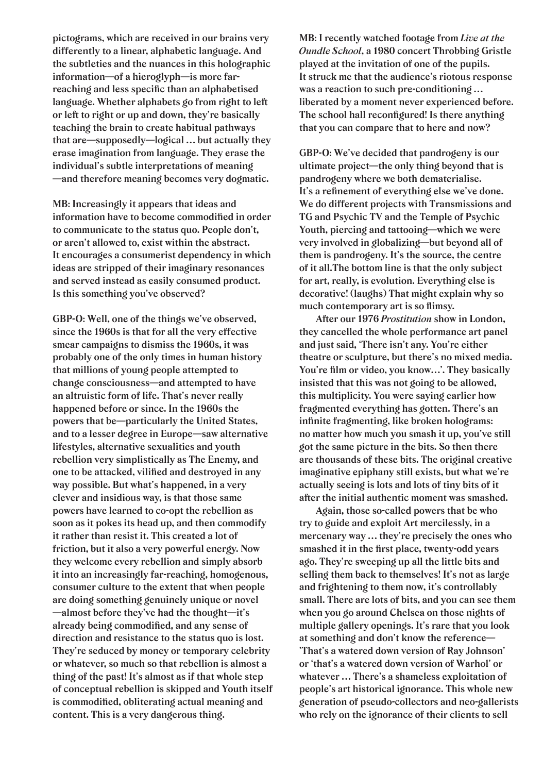**pictograms, which are received in our brains very differently to a linear, alphabetic language. And the subtleties and the nuances in this holographic information—of a hieroglyph—is more far**reaching and less specific than an alphabetised **language. Whether alphabets go from right to left or left to right or up and down, they're basically teaching the brain to create habitual pathways that are—supposedly—logical … but actually they erase imagination from language. They erase the individual's subtle interpretations of meaning —and therefore meaning becomes very dogmatic.**

**MB: Increasingly it appears that ideas and**  information have to become commodified in order **to communicate to the status quo. People don't, or aren't allowed to, exist within the abstract. It encourages a consumerist dependency in which ideas are stripped of their imaginary resonances and served instead as easily consumed product. Is this something you've observed?** 

**GBP-O: Well, one of the things we've observed, since the 1960s is that for all the very effective smear campaigns to dismiss the 1960s, it was probably one of the only times in human history that millions of young people attempted to change consciousness—and attempted to have an altruistic form of life. That's never really happened before or since. In the 1960s the powers that be—particularly the United States, and to a lesser degree in Europe—saw alternative lifestyles, alternative sexualities and youth rebellion very simplistically as The Enemy, and**  one to be attacked, vilified and destroyed in any **way possible. But what's happened, in a very clever and insidious way, is that those same powers have learned to co-opt the rebellion as soon as it pokes its head up, and then commodify it rather than resist it. This created a lot of friction, but it also a very powerful energy. Now they welcome every rebellion and simply absorb it into an increasingly far-reaching, homogenous, consumer culture to the extent that when people are doing something genuinely unique or novel —almost before they've had the thought—it's**  already being commodified, and any sense of **direction and resistance to the status quo is lost. They're seduced by money or temporary celebrity or whatever, so much so that rebellion is almost a thing of the past! It's almost as if that whole step of conceptual rebellion is skipped and Youth itself**  is commodified, obliterating actual meaning and **content. This is a very dangerous thing.**

**MB: I recently watched footage from** *Live at the Oundle School***, a 1980 concert Throbbing Gristle played at the invitation of one of the pupils. It struck me that the audience's riotous response was a reaction to such pre-conditioning … liberated by a moment never experienced before.**  The school hall reconfigured! Is there anything **that you can compare that to here and now?** 

**GBP-O: We've decided that pandrogeny is our ultimate project—the only thing beyond that is pandrogeny where we both dematerialise.**  It's a refinement of everything else we've done. **We do different projects with Transmissions and TG and Psychic TV and the Temple of Psychic Youth, piercing and tattooing—which we were very involved in globalizing—but beyond all of them is pandrogeny. It's the source, the centre of it all.The bottom line is that the only subject for art, really, is evolution. Everything else is decorative! (laughs) That might explain why so**  much contemporary art is so flimsy.

 **After our 1976** *Prostitution* **show in London, they cancelled the whole performance art panel and just said, 'There isn't any. You're either theatre or sculpture, but there's no mixed media.**  You're film or video, you know...'. They basically **insisted that this was not going to be allowed, this multiplicity. You were saying earlier how fragmented everything has gotten. There's an**  infinite fragmenting, like broken holograms: **no matter how much you smash it up, you've still got the same picture in the bits. So then there are thousands of these bits. The original creative imaginative epiphany still exists, but what we're actually seeing is lots and lots of tiny bits of it after the initial authentic moment was smashed.** 

 **Again, those so-called powers that be who try to guide and exploit Art mercilessly, in a mercenary way … they're precisely the ones who**  smashed it in the first place, twenty-odd years **ago. They're sweeping up all the little bits and selling them back to themselves! It's not as large and frightening to them now, it's controllably small. There are lots of bits, and you can see them when you go around Chelsea on those nights of multiple gallery openings. It's rare that you look at something and don't know the reference— 'That's a watered down version of Ray Johnson' or 'that's a watered down version of Warhol' or whatever … There's a shameless exploitation of people's art historical ignorance. This whole new generation of pseudo-collectors and neo-gallerists who rely on the ignorance of their clients to sell**